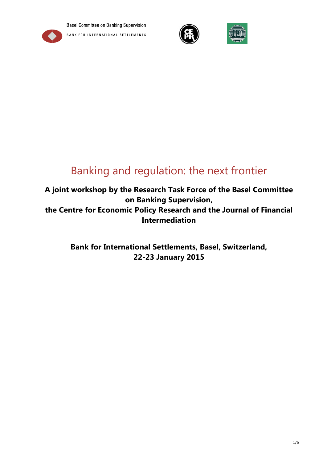



# Banking and regulation: the next frontier

**A joint workshop by the Research Task Force of the Basel Committee on Banking Supervision, the Centre for Economic Policy Research and the Journal of Financial Intermediation**

> **Bank for International Settlements, Basel, Switzerland, 22-23 January 2015**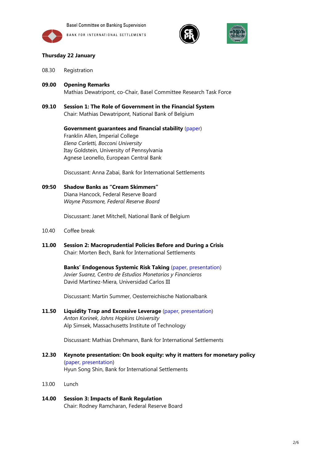







#### **Thursday 22 January**

- 08.30 Registration
- **09.00 Opening Remarks** Mathias Dewatripont, co-Chair, Basel Committee Research Task Force
- **09.10 Session 1: The Role of Government in the Financial System** Chair: Mathias Dewatripont, National Bank of Belgium

**Government guarantees and financial stability** (paper) Franklin Allen, Imperial College *Elena Carletti, Bocconi University* Itay Goldstein, University of Pennsylvania Agnese Leonello, European Central Bank

Discussant: Anna Zabai, Bank for International Settlements

**09:50 Shadow Banks as "Cream Skimmers"** Diana Hancock, Federal Reserve Board *Wayne Passmore, Federal Reserve Board*

Discussant: Janet Mitchell, National Bank of Belgium

- 10.40 Coffee break
- **11.00 Session 2: Macroprudential Policies Before and During a Crisis** Chair: Morten Bech, Bank for International Settlements

**Banks' Endogenous Systemic Risk Taking** (paper, presentation) *Javier Suarez, Centro de Estudios Monetarios y Financieros* David Martinez-Miera, Universidad Carlos III

Discussant: Martin Summer, Oesterreichische Nationalbank

**11.50 Liquidity Trap and Excessive Leverage** (paper, presentation) *Anton Korinek, Johns Hopkins University* Alp Simsek, Massachusetts Institute of Technology

Discussant: Mathias Drehmann, Bank for International Settlements

- **12.30 Keynote presentation: On book equity: why it matters for monetary policy** (paper, presentation) Hyun Song Shin, Bank for International Settlements
- 13.00 Lunch
- **14.00 Session 3: Impacts of Bank Regulation** Chair: Rodney Ramcharan, Federal Reserve Board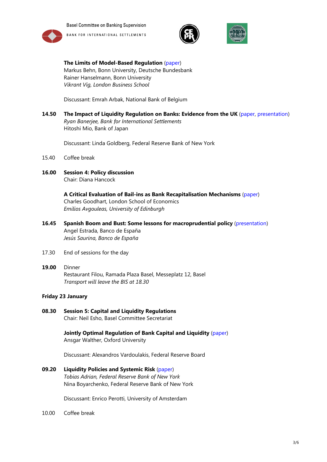





**The Limits of Model-Based Regulation** (paper) Markus Behn, Bonn University, Deutsche Bundesbank Rainer Hanselmann, Bonn University *Vikrant Vig, London Business School*

Discussant: Emrah Arbak, National Bank of Belgium

**14.50 The Impact of Liquidity Regulation on Banks: Evidence from the UK** (paper, presentation) *Ryan Banerjee, Bank for International Settlements* Hitoshi Mio, Bank of Japan

Discussant: Linda Goldberg, Federal Reserve Bank of New York

- 15.40 Coffee break
- **16.00 Session 4: Policy discussion** Chair: Diana Hancock

**A Critical Evaluation of Bail-ins as Bank Recapitalisation Mechanisms** (paper) Charles Goodhart, London School of Economics *Emilios Avgouleas, University of Edinburgh*

- **16.45 Spanish Boom and Bust: Some lessons for macroprudential policy** (presentation) Angel Estrada, Banco de España *Jesús Saurina, Banco de España*
- 17.30 End of sessions for the day
- **19.00** Dinner Restaurant Filou, Ramada Plaza Basel, Messeplatz 12, Basel *Transport will leave the BIS at 18.30*

#### **Friday 23 January**

**08.30 Session 5: Capital and Liquidity Regulations** Chair: Neil Esho, Basel Committee Secretariat

> **Jointly Optimal Regulation of Bank Capital and Liquidity** (paper) Ansgar Walther, Oxford University

Discussant: Alexandros Vardoulakis, Federal Reserve Board

**09.20 Liquidity Policies and Systemic Risk** (paper) *Tobias Adrian, Federal Reserve Bank of New York* Nina Boyarchenko, Federal Reserve Bank of New York

Discussant: Enrico Perotti, University of Amsterdam

10.00 Coffee break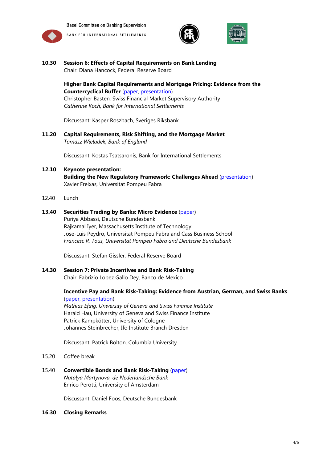







**10.30 Session 6: Effects of Capital Requirements on Bank Lending** Chair: Diana Hancock, Federal Reserve Board

> **Higher Bank Capital Requirements and Mortgage Pricing: Evidence from the Countercyclical Buffer** (paper, presentation) Christopher Basten, Swiss Financial Market Supervisory Authority *Catherine Koch, Bank for International Settlements*

Discussant: Kasper Roszbach, Sveriges Riksbank

**11.20 Capital Requirements, Risk Shifting, and the Mortgage Market** *Tomasz Wieladek, Bank of England*

Discussant: Kostas Tsatsaronis, Bank for International Settlements

- **12.10 Keynote presentation: Building the New Regulatory Framework: Challenges Ahead** (presentation) Xavier Freixas, Universitat Pompeu Fabra
- 12.40 Lunch

# **13.40 Securities Trading by Banks: Micro Evidence** (paper) Puriya Abbassi, Deutsche Bundesbank

Rajkamal Iyer, Massachusetts Institute of Technology Jose-Luis Peydro, Universitat Pompeu Fabra and Cass Business School *Francesc R. Tous, Universitat Pompeu Fabra and Deutsche Bundesbank*

Discussant: Stefan Gissler, Federal Reserve Board

**14.30 Session 7: Private Incentives and Bank Risk-Taking** Chair: Fabrizio Lopez Gallo Dey, Banco de Mexico

## **Incentive Pay and Bank Risk-Taking: Evidence from Austrian, German, and Swiss Banks** (paper, presentation)

*Mathias Efing, University of Geneva and Swiss Finance Institute* Harald Hau, University of Geneva and Swiss Finance Institute Patrick Kampkötter, University of Cologne Johannes Steinbrecher, Ifo Institute Branch Dresden

Discussant: Patrick Bolton, Columbia University

- 15.20 Coffee break
- 15.40 **Convertible Bonds and Bank Risk-Taking** (paper) *Natalya Martynova, de Nederlandsche Bank* Enrico Perotti, University of Amsterdam

Discussant: Daniel Foos, Deutsche Bundesbank

**16.30 Closing Remarks**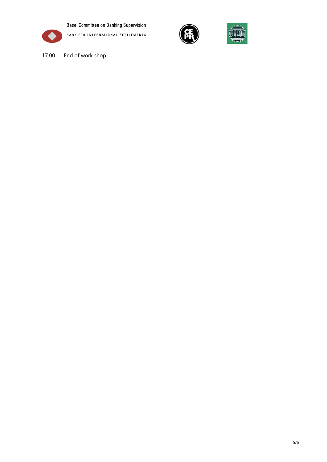





17.00 End of work shop